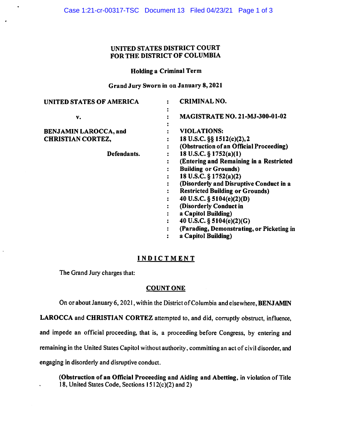## UNITED STATES DISTRICT COURT FOR THE DISTRICT OF COLUMBIA

### Holding a Criminal Term

### Grand Jury Sworn in on January 8, 2021

| UNITED STATES OF AMERICA     | <b>CRIMINAL NO.</b>                       |
|------------------------------|-------------------------------------------|
| v.                           | <b>MAGISTRATE NO. 21-MJ-300-01-02</b>     |
| <b>BENJAMIN LAROCCA, and</b> | <b>VIOLATIONS:</b>                        |
| <b>CHRISTIAN CORTEZ,</b>     | 18 U.S.C. §§ 1512(c)(2), 2                |
|                              | (Obstruction of an Official Proceeding)   |
| Defendants.                  | 18 U.S.C. $\S 1752(a)(1)$                 |
|                              | (Entering and Remaining in a Restricted   |
|                              | <b>Building or Grounds)</b>               |
|                              | 18 U.S.C. § 1752(a)(2)                    |
|                              | (Disorderly and Disruptive Conduct in a   |
|                              | <b>Restricted Building or Grounds)</b>    |
|                              | 40 U.S.C. § 5104(e)(2)(D)                 |
|                              | (Disorderly Conduct in                    |
|                              | a Capitol Building)                       |
|                              | 40 U.S.C. § $5104(e)(2)(G)$               |
|                              | (Parading, Demonstrating, or Picketing in |
|                              | a Capitol Building)                       |

# **INDICTMENT**

The Grand Jury charges that:

# **COUNT ONE**

On or about January 6, 2021, within the District of Columbia and elsewhere, **BENJAMIN** 

**LAROCCA** and **CHRISTIAN CORTEZ** attempted to, and did, corruptly obstruct, influence,

and impede an official proceeding, that is, a proceeding before Congress, by entering and

remaining in the United States Capitol without authority, committing an act of civil disorder, and

engaging in disorderly and disruptive conduct.

**(Obstruction of an Official Proceeding and Aiding and Abetting,** in violation of Title 18, United States Code, Sections I *5* l 2(c)(2) and 2)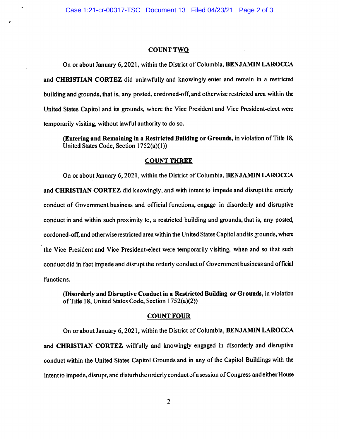#### **COUNTTWO**

On or about January 6, 2021, within the District of Columbia, **BENJAMIN LAROCCA**  and **CHRISTIAN CORTEZ** did unlawfully and knowingly enter and remain in a restricted building and grounds, that is, any posted, cordoned-off, and otherwise restricted area within the United States Capitol and its grounds, where the Vice President and Vice President-elect were temporarily visiting, without lawful authority to do so.

**(Entering and Remaining** in a **Restricted Building or Grounds,** in violation of Title 18, United States Code, Section 1752(a)(l))

#### **COUNT THREE**

On or about January 6, 2021, within the District of Columbia, **BENJAMIN LAROCCA**  and **CHRISTIAN CORTEZ** did knowingly, and with intent to impede and disrupt the orderly conduct of Government business and official functions, engage in disorderly and disruptive conduct in and within such proximity to, a restricted building and grounds, that is, any posted, cordoned-off, and otherwise restricted area within the United States Capitol and its grounds, where the Vice President and Vice President-elect were temporarily visiting, when and so that such conduct did in fact impede and disrupt the orderly conduct of Government business and official functions.

**(Disorderly and Disruptive Conduct in a Restricted Building or Grounds,** in violation of Title 18, United States Code, Section 1752(a)(2))

#### **COUNT FOUR**

On or about January 6, 2021, within the District of Columbia, **BENJAMIN LAROCCA**  and **CHRISTIAN CORTEZ** willfully and knowingly engaged in disorderly and disruptive conduct within the United States Capitol Grounds and in any of the Capitol Buildings with the intent to impede, disrupt, and disturb the orderly conduct of a session of Congress and either House